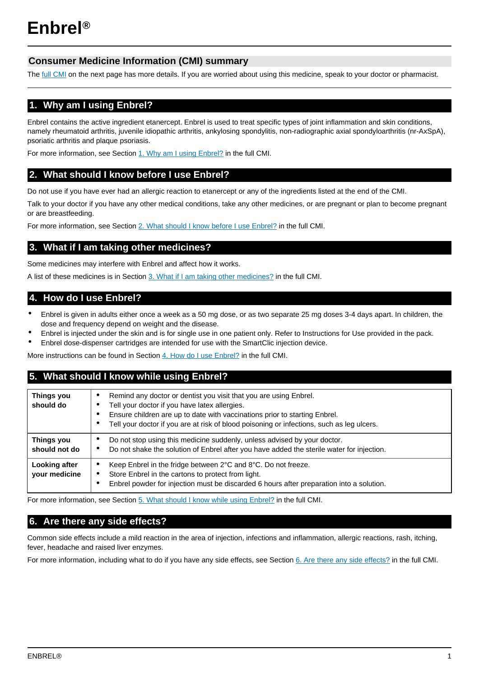# **Consumer Medicine Information (CMI) summary**

The [full CMI](#page-1-0) on the next page has more details. If you are worried about using this medicine, speak to your doctor or pharmacist.

# **1. Why am I using Enbrel?**

Enbrel contains the active ingredient etanercept. Enbrel is used to treat specific types of joint inflammation and skin conditions, namely rheumatoid arthritis, juvenile idiopathic arthritis, ankylosing spondylitis, non-radiographic axial spondyloarthritis (nr-AxSpA), psoriatic arthritis and plaque psoriasis.

For more information, see Section [1. Why am I using Enbrel?](#page-1-1) in the full CMI.

# **2. What should I know before I use Enbrel?**

Do not use if you have ever had an allergic reaction to etanercept or any of the ingredients listed at the end of the CMI.

Talk to your doctor if you have any other medical conditions, take any other medicines, or are pregnant or plan to become pregnant or are breastfeeding.

For more information, see Section [2. What should I know before I use Enbrel?](#page-1-2) in the full CMI.

# **3. What if I am taking other medicines?**

Some medicines may interfere with Enbrel and affect how it works.

A list of these medicines is in Section [3. What if I am taking other medicines?](#page-2-0) in the full CMI.

# **4. How do I use Enbrel?**

- Enbrel is given in adults either once a week as a 50 mg dose, or as two separate 25 mg doses 3-4 days apart. In children, the dose and frequency depend on weight and the disease.
- Enbrel is injected under the skin and is for single use in one patient only. Refer to Instructions for Use provided in the pack.
- Enbrel dose-dispenser cartridges are intended for use with the SmartClic injection device.

More instructions can be found in Section [4. How do I use Enbrel?](#page-2-1) in the full CMI.

# **5. What should I know while using Enbrel?**

| <b>Things you</b><br>should do | Remind any doctor or dentist you visit that you are using Enbrel.<br>٠<br>Tell your doctor if you have latex allergies.<br>Ensure children are up to date with vaccinations prior to starting Enbrel.<br>Tell your doctor if you are at risk of blood poisoning or infections, such as leg ulcers.<br>$\bullet$ |
|--------------------------------|-----------------------------------------------------------------------------------------------------------------------------------------------------------------------------------------------------------------------------------------------------------------------------------------------------------------|
| Things you<br>should not do    | Do not stop using this medicine suddenly, unless advised by your doctor.<br>٠<br>Do not shake the solution of Enbrel after you have added the sterile water for injection.<br>٠                                                                                                                                 |
| Looking after<br>your medicine | Keep Enbrel in the fridge between 2°C and 8°C. Do not freeze.<br>٠<br>Store Enbrel in the cartons to protect from light.<br>$\bullet$<br>Enbrel powder for injection must be discarded 6 hours after preparation into a solution.<br>٠                                                                          |

For more information, see Section [5. What should I know while using Enbrel?](#page-3-0) in the full CMI.

# **6. Are there any side effects?**

Common side effects include a mild reaction in the area of injection, infections and inflammation, allergic reactions, rash, itching, fever, headache and raised liver enzymes.

For more information, including what to do if you have any side effects, see Section [6. Are there any side effects?](#page-4-0) in the full CMI.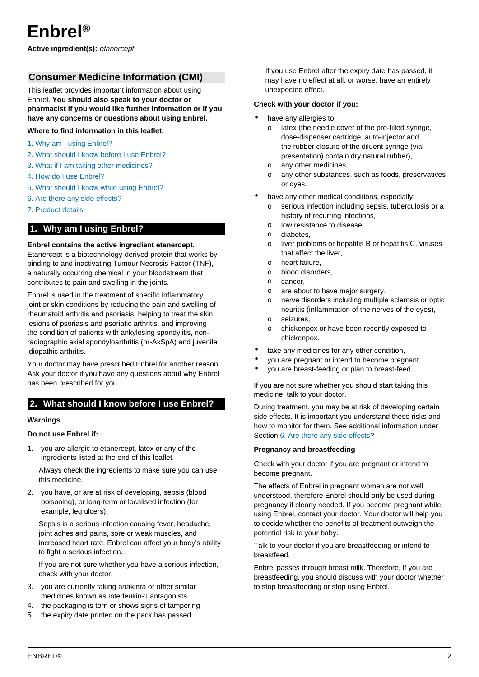<span id="page-1-0"></span>**Active ingredient(s):** etanercept

# **Consumer Medicine Information (CMI)**

This leaflet provides important information about using Enbrel. **You should also speak to your doctor or pharmacist if you would like further information or if you have any concerns or questions about using Enbrel.**

## **Where to find information in this leaflet:**

- [1. Why am I using Enbrel?](#page-1-1)
- [2. What should I know before I use Enbrel?](#page-1-2)
- [3. What if I am taking other medicines?](#page-2-0)
- [4. How do I use Enbrel?](#page-2-1)
- [5. What should I know while using Enbrel?](#page-3-0)
- [6. Are there any side effects?](#page-4-0)
- [7. Product details](#page-5-0)

# <span id="page-1-1"></span>**1. Why am I using Enbrel?**

#### **Enbrel contains the active ingredient etanercept.**

Etanercept is a biotechnology-derived protein that works by binding to and inactivating Tumour Necrosis Factor (TNF), a naturally occurring chemical in your bloodstream that contributes to pain and swelling in the joints.

Enbrel is used in the treatment of specific inflammatory joint or skin conditions by reducing the pain and swelling of rheumatoid arthritis and psoriasis, helping to treat the skin lesions of psoriasis and psoriatic arthritis, and improving the condition of patients with ankylosing spondylitis, nonradiographic axial spondyloarthritis (nr-AxSpA) and juvenile idiopathic arthritis.

Your doctor may have prescribed Enbrel for another reason. Ask your doctor if you have any questions about why Enbrel has been prescribed for you.

# <span id="page-1-2"></span>**2. What should I know before I use Enbrel?**

#### **Warnings**

#### **Do not use Enbrel if:**

1. you are allergic to etanercept, latex or any of the ingredients listed at the end of this leaflet.

Always check the ingredients to make sure you can use this medicine.

2. you have, or are at risk of developing, sepsis (blood poisoning), or long-term or localised infection (for example, leg ulcers).

Sepsis is a serious infection causing fever, headache, joint aches and pains, sore or weak muscles, and increased heart rate. Enbrel can affect your body's ability to fight a serious infection.

If you are not sure whether you have a serious infection, check with your doctor.

- 3. you are currently taking anakinra or other similar medicines known as Interleukin-1 antagonists.
- 4. the packaging is torn or shows signs of tampering
- 5. the expiry date printed on the pack has passed.

If you use Enbrel after the expiry date has passed, it may have no effect at all, or worse, have an entirely unexpected effect.

#### **Check with your doctor if you:**

- have any allergies to:
	- o latex (the needle cover of the pre-filled syringe, dose-dispenser cartridge, auto-injector and the rubber closure of the diluent syringe (vial presentation) contain dry natural rubber),
	- o any other medicines,
	- o any other substances, such as foods, preservatives or dyes.
- have any other medical conditions, especially:
	- serious infection including sepsis, tuberculosis or a history of recurring infections,
	- o low resistance to disease,
	- o diabetes,
	- o liver problems or hepatitis B or hepatitis C, viruses that affect the liver,
	- o heart failure,
	- o blood disorders,
	- o cancer,
	- o are about to have major surgery,
	- o nerve disorders including multiple sclerosis or optic neuritis (inflammation of the nerves of the eyes),
	- o seizures,
	- o chickenpox or have been recently exposed to chickenpox.
- take any medicines for any other condition,
- you are pregnant or intend to become pregnant,
- you are breast-feeding or plan to breast-feed.

If you are not sure whether you should start taking this medicine, talk to your doctor.

During treatment, you may be at risk of developing certain side effects. It is important you understand these risks and how to monitor for them. See additional information under Section [6. Are there any side effects](#page-4-0)?

#### **Pregnancy and breastfeeding**

Check with your doctor if you are pregnant or intend to become pregnant.

The effects of Enbrel in pregnant women are not well understood, therefore Enbrel should only be used during pregnancy if clearly needed. If you become pregnant while using Enbrel, contact your doctor. Your doctor will help you to decide whether the benefits of treatment outweigh the potential risk to your baby.

Talk to your doctor if you are breastfeeding or intend to breastfeed.

Enbrel passes through breast milk. Therefore, if you are breastfeeding, you should discuss with your doctor whether to stop breastfeeding or stop using Enbrel.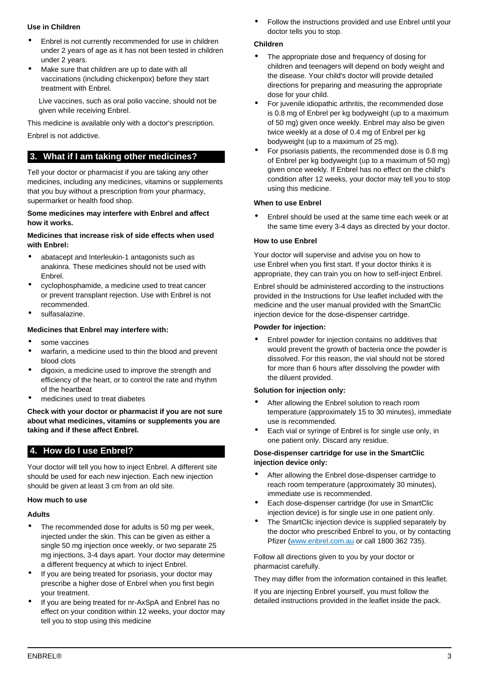# **Use in Children**

- Enbrel is not currently recommended for use in children under 2 years of age as it has not been tested in children under 2 years.
- Make sure that children are up to date with all vaccinations (including chickenpox) before they start treatment with Enbrel.

Live vaccines, such as oral polio vaccine, should not be given while receiving Enbrel.

This medicine is available only with a doctor's prescription.

Enbrel is not addictive.

# <span id="page-2-0"></span>**3. What if I am taking other medicines?**

Tell your doctor or pharmacist if you are taking any other medicines, including any medicines, vitamins or supplements that you buy without a prescription from your pharmacy, supermarket or health food shop.

#### **Some medicines may interfere with Enbrel and affect how it works.**

#### **Medicines that increase risk of side effects when used with Enbrel:**

- abatacept and Interleukin-1 antagonists such as anakinra. These medicines should not be used with Enbrel.
- cyclophosphamide, a medicine used to treat cancer or prevent transplant rejection. Use with Enbrel is not recommended.
- sulfasalazine.

## **Medicines that Enbrel may interfere with:**

- some vaccines
- warfarin, a medicine used to thin the blood and prevent blood clots
- digoxin, a medicine used to improve the strength and efficiency of the heart, or to control the rate and rhythm of the heartbeat
- medicines used to treat diabetes

**Check with your doctor or pharmacist if you are not sure about what medicines, vitamins or supplements you are taking and if these affect Enbrel.**

# <span id="page-2-1"></span>**4. How do I use Enbrel?**

Your doctor will tell you how to inject Enbrel. A different site should be used for each new injection. Each new injection should be given at least 3 cm from an old site.

## **How much to use**

#### **Adults**

- The recommended dose for adults is 50 mg per week, injected under the skin. This can be given as either a single 50 mg injection once weekly, or two separate 25 mg injections, 3-4 days apart. Your doctor may determine a different frequency at which to inject Enbrel.
- If you are being treated for psoriasis, your doctor may prescribe a higher dose of Enbrel when you first begin your treatment.
- If you are being treated for nr-AxSpA and Enbrel has no effect on your condition within 12 weeks, your doctor may tell you to stop using this medicine

• Follow the instructions provided and use Enbrel until your doctor tells you to stop.

#### **Children**

- The appropriate dose and frequency of dosing for children and teenagers will depend on body weight and the disease. Your child's doctor will provide detailed directions for preparing and measuring the appropriate dose for your child.
- For juvenile idiopathic arthritis, the recommended dose is 0.8 mg of Enbrel per kg bodyweight (up to a maximum of 50 mg) given once weekly. Enbrel may also be given twice weekly at a dose of 0.4 mg of Enbrel per kg bodyweight (up to a maximum of 25 mg).
- For psoriasis patients, the recommended dose is 0.8 mg of Enbrel per kg bodyweight (up to a maximum of 50 mg) given once weekly. If Enbrel has no effect on the child's condition after 12 weeks, your doctor may tell you to stop using this medicine.

## **When to use Enbrel**

• Enbrel should be used at the same time each week or at the same time every 3-4 days as directed by your doctor.

#### **How to use Enbrel**

Your doctor will supervise and advise you on how to use Enbrel when you first start. If your doctor thinks it is appropriate, they can train you on how to self-inject Enbrel.

Enbrel should be administered according to the instructions provided in the Instructions for Use leaflet included with the medicine and the user manual provided with the SmartClic injection device for the dose-dispenser cartridge.

#### **Powder for injection:**

• Enbrel powder for injection contains no additives that would prevent the growth of bacteria once the powder is dissolved. For this reason, the vial should not be stored for more than 6 hours after dissolving the powder with the diluent provided.

## **Solution for injection only:**

- After allowing the Enbrel solution to reach room temperature (approximately 15 to 30 minutes), immediate use is recommended.
- Each vial or syringe of Enbrel is for single use only, in one patient only. Discard any residue.

#### **Dose-dispenser cartridge for use in the SmartClic injection device only:**

- After allowing the Enbrel dose-dispenser cartridge to reach room temperature (approximately 30 minutes), immediate use is recommended.
- Each dose-dispenser cartridge (for use in SmartClic injection device) is for single use in one patient only.
- The SmartClic injection device is supplied separately by the doctor who prescribed Enbrel to you, or by contacting Pfizer [\(www.enbrel.com.au](https://www.enbrel.com.au/) or call 1800 362 735).

Follow all directions given to you by your doctor or pharmacist carefully.

They may differ from the information contained in this leaflet.

If you are injecting Enbrel yourself, you must follow the detailed instructions provided in the leaflet inside the pack.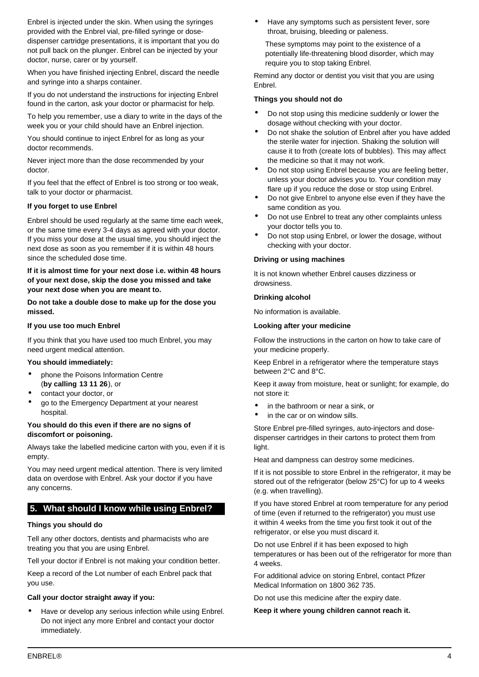Enbrel is injected under the skin. When using the syringes provided with the Enbrel vial, pre-filled syringe or dosedispenser cartridge presentations, it is important that you do not pull back on the plunger. Enbrel can be injected by your doctor, nurse, carer or by yourself.

When you have finished injecting Enbrel, discard the needle and syringe into a sharps container.

If you do not understand the instructions for injecting Enbrel found in the carton, ask your doctor or pharmacist for help.

To help you remember, use a diary to write in the days of the week you or your child should have an Enbrel injection.

You should continue to inject Enbrel for as long as your doctor recommends.

Never inject more than the dose recommended by your doctor.

If you feel that the effect of Enbrel is too strong or too weak, talk to your doctor or pharmacist.

## **If you forget to use Enbrel**

Enbrel should be used regularly at the same time each week, or the same time every 3-4 days as agreed with your doctor. If you miss your dose at the usual time, you should inject the next dose as soon as you remember if it is within 48 hours since the scheduled dose time.

## **If it is almost time for your next dose i.e. within 48 hours of your next dose, skip the dose you missed and take your next dose when you are meant to.**

**Do not take a double dose to make up for the dose you missed.**

## **If you use too much Enbrel**

If you think that you have used too much Enbrel, you may need urgent medical attention.

## **You should immediately:**

- phone the Poisons Information Centre (**by calling 13 11 26**), or
- contact your doctor, or
- go to the Emergency Department at your nearest hospital.

## **You should do this even if there are no signs of discomfort or poisoning.**

Always take the labelled medicine carton with you, even if it is empty.

You may need urgent medical attention. There is very limited data on overdose with Enbrel. Ask your doctor if you have any concerns.

# <span id="page-3-0"></span>**5. What should I know while using Enbrel?**

## **Things you should do**

Tell any other doctors, dentists and pharmacists who are treating you that you are using Enbrel.

Tell your doctor if Enbrel is not making your condition better.

Keep a record of the Lot number of each Enbrel pack that you use.

## **Call your doctor straight away if you:**

Have or develop any serious infection while using Enbrel. Do not inject any more Enbrel and contact your doctor immediately.

Have any symptoms such as persistent fever, sore throat, bruising, bleeding or paleness.

These symptoms may point to the existence of a potentially life-threatening blood disorder, which may require you to stop taking Enbrel.

Remind any doctor or dentist you visit that you are using Enbrel.

#### **Things you should not do**

- Do not stop using this medicine suddenly or lower the dosage without checking with your doctor.
- Do not shake the solution of Enbrel after you have added the sterile water for injection. Shaking the solution will cause it to froth (create lots of bubbles). This may affect the medicine so that it may not work.
- Do not stop using Enbrel because you are feeling better, unless your doctor advises you to. Your condition may flare up if you reduce the dose or stop using Enbrel.
- Do not give Enbrel to anyone else even if they have the same condition as you.
- Do not use Enbrel to treat any other complaints unless your doctor tells you to.
- Do not stop using Enbrel, or lower the dosage, without checking with your doctor.

## **Driving or using machines**

It is not known whether Enbrel causes dizziness or drowsiness.

## **Drinking alcohol**

No information is available.

## **Looking after your medicine**

Follow the instructions in the carton on how to take care of your medicine properly.

Keep Enbrel in a refrigerator where the temperature stays between 2°C and 8°C.

Keep it away from moisture, heat or sunlight; for example, do not store it:

- in the bathroom or near a sink, or
- in the car or on window sills.

Store Enbrel pre-filled syringes, auto-injectors and dosedispenser cartridges in their cartons to protect them from light.

Heat and dampness can destroy some medicines.

If it is not possible to store Enbrel in the refrigerator, it may be stored out of the refrigerator (below 25°C) for up to 4 weeks (e.g. when travelling).

If you have stored Enbrel at room temperature for any period of time (even if returned to the refrigerator) you must use it within 4 weeks from the time you first took it out of the refrigerator, or else you must discard it.

Do not use Enbrel if it has been exposed to high temperatures or has been out of the refrigerator for more than 4 weeks.

For additional advice on storing Enbrel, contact Pfizer Medical Information on 1800 362 735.

Do not use this medicine after the expiry date.

#### **Keep it where young children cannot reach it.**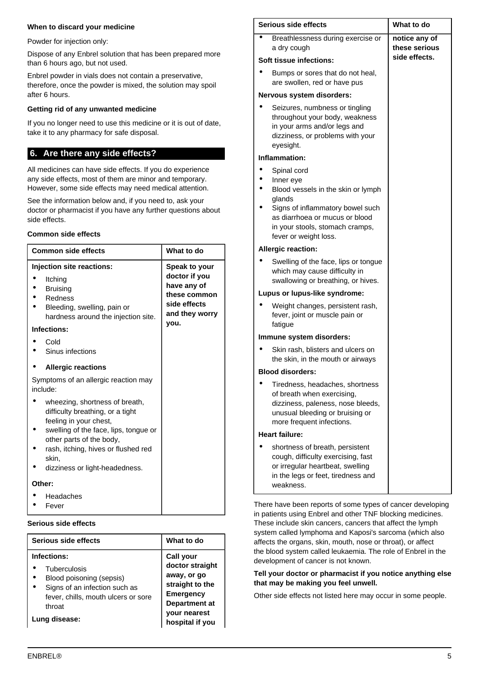## **When to discard your medicine**

Powder for injection only:

Dispose of any Enbrel solution that has been prepared more than 6 hours ago, but not used.

Enbrel powder in vials does not contain a preservative, therefore, once the powder is mixed, the solution may spoil after 6 hours.

## **Getting rid of any unwanted medicine**

If you no longer need to use this medicine or it is out of date, take it to any pharmacy for safe disposal.

# <span id="page-4-0"></span>**6. Are there any side effects?**

All medicines can have side effects. If you do experience any side effects, most of them are minor and temporary. However, some side effects may need medical attention.

See the information below and, if you need to, ask your doctor or pharmacist if you have any further questions about side effects.

## **Common side effects**

| <b>Common side effects</b>                                                                                                                                                                                                                          | What to do                                                                                              |
|-----------------------------------------------------------------------------------------------------------------------------------------------------------------------------------------------------------------------------------------------------|---------------------------------------------------------------------------------------------------------|
| Injection site reactions:<br>Itching<br><b>Bruising</b><br>Redness<br>Bleeding, swelling, pain or<br>hardness around the injection site.<br>Infections:<br>Cold                                                                                     | Speak to your<br>doctor if you<br>have any of<br>these common<br>side effects<br>and they worry<br>you. |
| Sinus infections                                                                                                                                                                                                                                    |                                                                                                         |
| <b>Allergic reactions</b>                                                                                                                                                                                                                           |                                                                                                         |
| Symptoms of an allergic reaction may<br>include:                                                                                                                                                                                                    |                                                                                                         |
| wheezing, shortness of breath,<br>difficulty breathing, or a tight<br>feeling in your chest,<br>swelling of the face, lips, tongue or<br>other parts of the body,<br>rash, itching, hives or flushed red<br>skin.<br>dizziness or light-headedness. |                                                                                                         |
| Other:                                                                                                                                                                                                                                              |                                                                                                         |
| Headaches<br>Fever                                                                                                                                                                                                                                  |                                                                                                         |

#### **Serious side effects**

| Serious side effects                                                                                                                                       | What to do                                                                                                                                           |
|------------------------------------------------------------------------------------------------------------------------------------------------------------|------------------------------------------------------------------------------------------------------------------------------------------------------|
| Infections:<br>Tuberculosis<br>Blood poisoning (sepsis)<br>Signs of an infection such as<br>fever, chills, mouth ulcers or sore<br>throat<br>Lung disease: | <b>Call your</b><br>doctor straight<br>away, or go<br>straight to the<br><b>Emergency</b><br>Department at<br><b>vour nearest</b><br>hospital if you |

| Serious side effects |                                                                                                                                                                    | What to do                                      |
|----------------------|--------------------------------------------------------------------------------------------------------------------------------------------------------------------|-------------------------------------------------|
|                      | Breathlessness during exercise or<br>a dry cough                                                                                                                   | notice any of<br>these serious<br>side effects. |
|                      | Soft tissue infections:                                                                                                                                            |                                                 |
|                      | Bumps or sores that do not heal,<br>are swollen, red or have pus                                                                                                   |                                                 |
|                      | Nervous system disorders:                                                                                                                                          |                                                 |
|                      | Seizures, numbness or tingling<br>throughout your body, weakness<br>in your arms and/or legs and<br>dizziness, or problems with your<br>eyesight.                  |                                                 |
|                      | Inflammation:                                                                                                                                                      |                                                 |
|                      | Spinal cord                                                                                                                                                        |                                                 |
|                      | Inner eye<br>Blood vessels in the skin or lymph<br>glands                                                                                                          |                                                 |
|                      | Signs of inflammatory bowel such<br>as diarrhoea or mucus or blood<br>in your stools, stomach cramps,<br>fever or weight loss.                                     |                                                 |
|                      | <b>Allergic reaction:</b>                                                                                                                                          |                                                 |
|                      | Swelling of the face, lips or tongue<br>which may cause difficulty in<br>swallowing or breathing, or hives.                                                        |                                                 |
|                      | Lupus or lupus-like syndrome:                                                                                                                                      |                                                 |
|                      | Weight changes, persistent rash,<br>fever, joint or muscle pain or<br>fatigue                                                                                      |                                                 |
|                      | Immune system disorders:                                                                                                                                           |                                                 |
|                      | Skin rash, blisters and ulcers on<br>the skin, in the mouth or airways                                                                                             |                                                 |
|                      | <b>Blood disorders:</b>                                                                                                                                            |                                                 |
|                      | Tiredness, headaches, shortness<br>of breath when exercising,<br>dizziness, paleness, nose bleeds,<br>unusual bleeding or bruising or<br>more frequent infections. |                                                 |
|                      | <b>Heart failure:</b>                                                                                                                                              |                                                 |
|                      | shortness of breath, persistent<br>cough, difficulty exercising, fast<br>or irregular heartbeat, swelling<br>in the legs or feet, tiredness and<br>weakness.       |                                                 |

There have been reports of some types of cancer developing in patients using Enbrel and other TNF blocking medicines. These include skin cancers, cancers that affect the lymph system called lymphoma and Kaposi's sarcoma (which also affects the organs, skin, mouth, nose or throat), or affect the blood system called leukaemia. The role of Enbrel in the development of cancer is not known.

#### **Tell your doctor or pharmacist if you notice anything else that may be making you feel unwell.**

Other side effects not listed here may occur in some people.